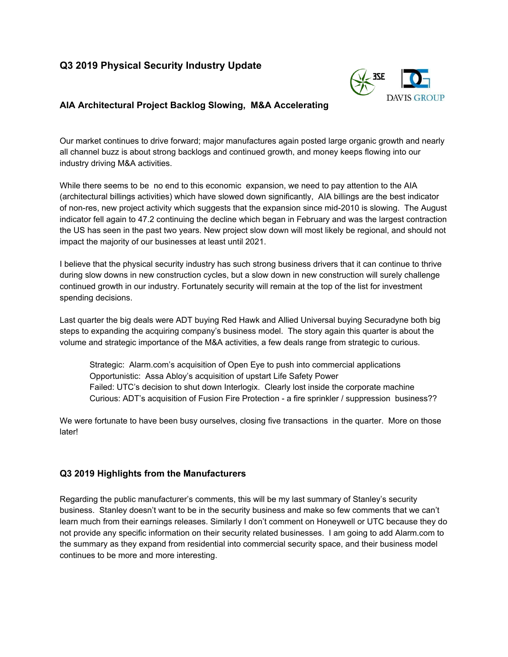# **Q3 2019 Physical Security Industry Update**



## **AIA Architectural Project Backlog Slowing, M&A Accelerating**

Our market continues to drive forward; major manufactures again posted large organic growth and nearly all channel buzz is about strong backlogs and continued growth, and money keeps flowing into our industry driving M&A activities.

While there seems to be no end to this economic expansion, we need to pay attention to the AIA (architectural billings activities) which have slowed down significantly, AIA billings are the best indicator of non-res, new project activity which suggests that the expansion since mid-2010 is slowing. The August indicator fell again to 47.2 continuing the decline which began in February and was the largest contraction the US has seen in the past two years. New project slow down will most likely be regional, and should not impact the majority of our businesses at least until 2021.

I believe that the physical security industry has such strong business drivers that it can continue to thrive during slow downs in new construction cycles, but a slow down in new construction will surely challenge continued growth in our industry. Fortunately security will remain at the top of the list for investment spending decisions.

Last quarter the big deals were ADT buying Red Hawk and Allied Universal buying Securadyne both big steps to expanding the acquiring company's business model. The story again this quarter is about the volume and strategic importance of the M&A activities, a few deals range from strategic to curious.

Strategic: Alarm.com's acquisition of Open Eye to push into commercial applications Opportunistic: Assa Abloy's acquisition of upstart Life Safety Power Failed: UTC's decision to shut down Interlogix. Clearly lost inside the corporate machine Curious: ADT's acquisition of Fusion Fire Protection - a fire sprinkler / suppression business??

We were fortunate to have been busy ourselves, closing five transactions in the quarter. More on those later!

### **Q3 2019 Highlights from the Manufacturers**

Regarding the public manufacturer's comments, this will be my last summary of Stanley's security business. Stanley doesn't want to be in the security business and make so few comments that we can't learn much from their earnings releases. Similarly I don't comment on Honeywell or UTC because they do not provide any specific information on their security related businesses. I am going to add Alarm.com to the summary as they expand from residential into commercial security space, and their business model continues to be more and more interesting.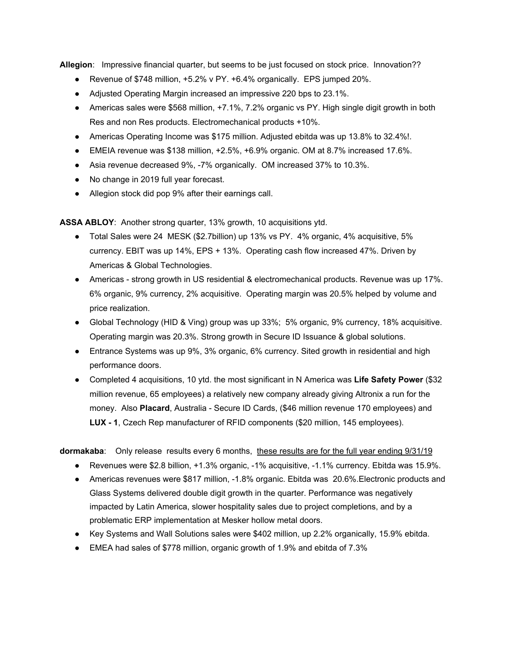**Allegion**: Impressive financial quarter, but seems to be just focused on stock price. Innovation??

- **•** Revenue of \$748 million,  $+5.2\%$  v PY.  $+6.4\%$  organically. EPS jumped 20%.
- Adjusted Operating Margin increased an impressive 220 bps to 23.1%.
- Americas sales were \$568 million, +7.1%, 7.2% organic vs PY. High single digit growth in both Res and non Res products. Electromechanical products +10%.
- Americas Operating Income was \$175 million. Adjusted ebitda was up 13.8% to 32.4%!.
- EMEIA revenue was \$138 million, +2.5%, +6.9% organic. OM at 8.7% increased 17.6%.
- Asia revenue decreased 9%, -7% organically. OM increased 37% to 10.3%.
- No change in 2019 full year forecast.
- Allegion stock did pop 9% after their earnings call.

**ASSA ABLOY**: Another strong quarter, 13% growth, 10 acquisitions ytd.

- Total Sales were 24 MESK (\$2.7billion) up 13% vs PY. 4% organic, 4% acquisitive, 5% currency. EBIT was up 14%, EPS + 13%. Operating cash flow increased 47%. Driven by Americas & Global Technologies.
- Americas strong growth in US residential & electromechanical products. Revenue was up 17%. 6% organic, 9% currency, 2% acquisitive. Operating margin was 20.5% helped by volume and price realization.
- Global Technology (HID & Ving) group was up 33%; 5% organic, 9% currency, 18% acquisitive. Operating margin was 20.3%. Strong growth in Secure ID Issuance & global solutions.
- Entrance Systems was up 9%, 3% organic, 6% currency. Sited growth in residential and high performance doors.
- Completed 4 acquisitions, 10 ytd. the most significant in N America was **Life Safety Power** (\$32 million revenue, 65 employees) a relatively new company already giving Altronix a run for the money. Also **Placard**, Australia - Secure ID Cards, (\$46 million revenue 170 employees) and **LUX - 1**, Czech Rep manufacturer of RFID components (\$20 million, 145 employees).

**dormakaba**: Only release results every 6 months, these results are for the full year ending 9/31/19

- Revenues were \$2.8 billion, +1.3% organic, -1% acquisitive, -1.1% currency. Ebitda was 15.9%.
- Americas revenues were \$817 million, -1.8% organic. Ebitda was 20.6%. Electronic products and Glass Systems delivered double digit growth in the quarter. Performance was negatively impacted by Latin America, slower hospitality sales due to project completions, and by a problematic ERP implementation at Mesker hollow metal doors.
- Key Systems and Wall Solutions sales were \$402 million, up 2.2% organically, 15.9% ebitda.
- EMEA had sales of \$778 million, organic growth of 1.9% and ebitda of 7.3%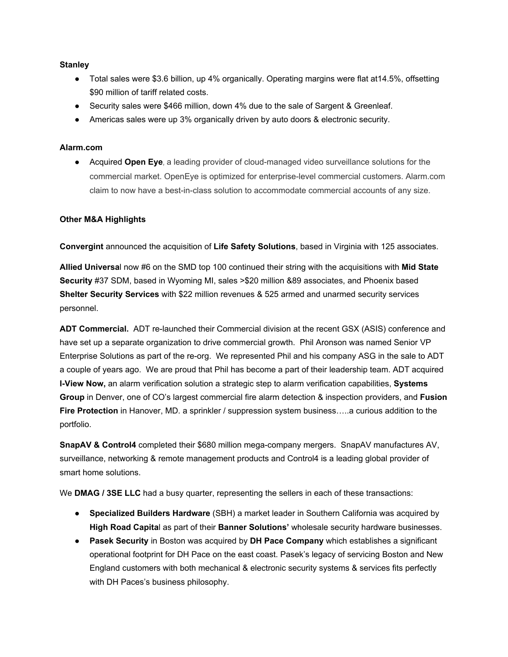#### **Stanley**

- Total sales were \$3.6 billion, up 4% organically. Operating margins were flat at14.5%, offsetting \$90 million of tariff related costs.
- Security sales were \$466 million, down 4% due to the sale of Sargent & Greenleaf.
- Americas sales were up 3% organically driven by auto doors & electronic security.

#### **Alarm.com**

● Acquired **Open Eye**, a leading provider of cloud-managed video surveillance solutions for the commercial market. OpenEye is optimized for enterprise-level commercial customers. Alarm.com claim to now have a best-in-class solution to accommodate commercial accounts of any size.

#### **Other M&A Highlights**

**Convergint** announced the acquisition of **Life Safety Solutions**, based in Virginia with 125 associates.

**Allied Universa**l now #6 on the SMD top 100 continued their string with the acquisitions with **Mid State Security** #37 SDM, based in Wyoming MI, sales >\$20 million &89 associates, and Phoenix based **Shelter Security Services** with \$22 million revenues & 525 armed and unarmed security services personnel.

**ADT Commercial.** ADT re-launched their Commercial division at the recent GSX (ASIS) conference and have set up a separate organization to drive commercial growth. Phil Aronson was named Senior VP Enterprise Solutions as part of the re-org. We represented Phil and his company ASG in the sale to ADT a couple of years ago. We are proud that Phil has become a part of their leadership team. ADT acquired **I-View Now,** an alarm verification solution a strategic step to alarm verification capabilities, **Systems Group** in Denver, one of CO's largest commercial fire alarm detection & inspection providers, and **Fusion Fire Protection** in Hanover, MD. a sprinkler / suppression system business…..a curious addition to the portfolio.

**SnapAV & Control4** completed their \$680 million mega-company mergers. SnapAV manufactures AV, surveillance, networking & remote management products and Control4 is a leading global provider of smart home solutions.

We **DMAG / 3SE LLC** had a busy quarter, representing the sellers in each of these transactions:

- **Specialized Builders Hardware** (SBH) a market leader in Southern California was acquired by **High Road Capita**l as part of their **Banner Solutions'** wholesale security hardware businesses.
- **Pasek Security** in Boston was acquired by **DH Pace Company** which establishes a significant operational footprint for DH Pace on the east coast. Pasek's legacy of servicing Boston and New England customers with both mechanical & electronic security systems & services fits perfectly with DH Paces's business philosophy.